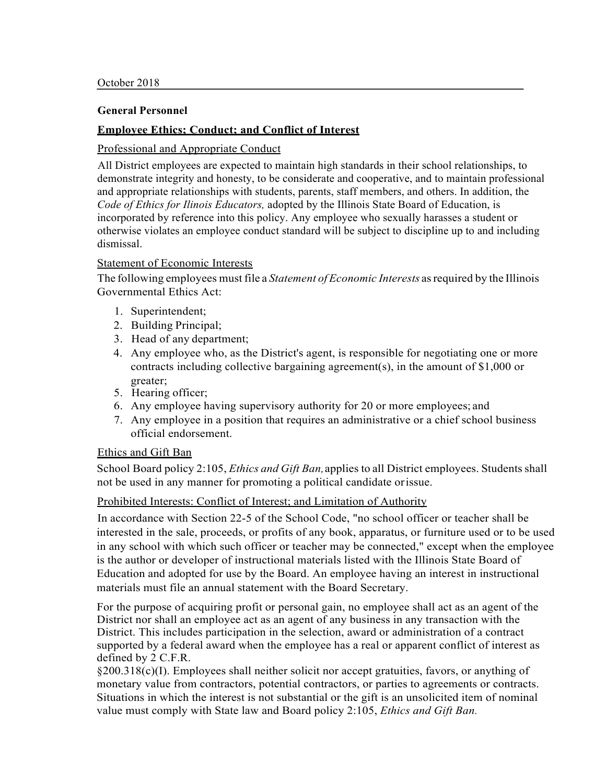## **Employee Ethics; Conduct; and Conflict of Interest**

## Professional and Appropriate Conduct

All District employees are expected to maintain high standards in their school relationships, to demonstrate integrity and honesty, to be considerate and cooperative, and to maintain professional and appropriate relationships with students, parents, staff members, and others. In addition, the *Code of Ethics for Ilinois Educators,* adopted by the Illinois State Board of Education, is incorporated by reference into this policy. Any employee who sexually harasses a student or otherwise violates an employee conduct standard will be subject to discipline up to and including dismissal.

## Statement of Economic Interests

The following employees must file a *Statement of Economic Interests* asrequired by the Illinois Governmental Ethics Act:

- 1. Superintendent;
- 2. Building Principal;
- 3. Head of any department;
- 4. Any employee who, as the District's agent, is responsible for negotiating one or more contracts including collective bargaining agreement(s), in the amount of \$1,000 or greater;
- 5. Hearing officer;
- 6. Any employee having supervisory authority for 20 or more employees; and
- 7. Any employee in a position that requires an administrative or a chief school business official endorsement.

## Ethics and Gift Ban

School Board policy 2:105, *Ethics and Gift Ban,*applies to all District employees. Students shall not be used in any manner for promoting a political candidate orissue.

## Prohibited Interests: Conflict of Interest; and Limitation of Authority

In accordance with Section 22-5 of the School Code, "no school officer or teacher shall be interested in the sale, proceeds, or profits of any book, apparatus, or furniture used or to be used in any school with which such officer or teacher may be connected," except when the employee is the author or developer of instructional materials listed with the Illinois State Board of Education and adopted for use by the Board. An employee having an interest in instructional materials must file an annual statement with the Board Secretary.

For the purpose of acquiring profit or personal gain, no employee shall act as an agent of the District nor shall an employee act as an agent of any business in any transaction with the District. This includes participation in the selection, award or administration of a contract supported by a federal award when the employee has a real or apparent conflict of interest as defined by 2 C.F.R.

§200.318(c)(I). Employees shall neither solicit nor accept gratuities, favors, or anything of monetary value from contractors, potential contractors, or parties to agreements or contracts. Situations in which the interest is not substantial or the gift is an unsolicited item of nominal value must comply with State law and Board policy 2:105, *Ethics and Gift Ban.*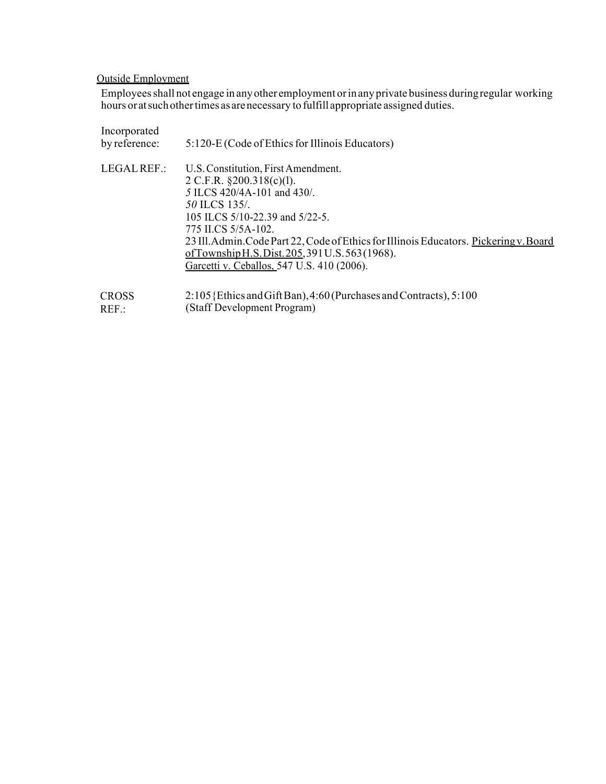## Outside Employment

Employees shall not engage in any other employment or in any private business during regular working hours oratsuchothertimes as arenecessary to fulfill appropriate assigned duties.

| Incorporated<br>by reference: | 5:120-E (Code of Ethics for Illinois Educators)                                                                                                                                                                                                                                                                                                                             |
|-------------------------------|-----------------------------------------------------------------------------------------------------------------------------------------------------------------------------------------------------------------------------------------------------------------------------------------------------------------------------------------------------------------------------|
| LEGAL REF.:                   | U.S. Constitution, First Amendment.<br>2 C.F.R. $\S 200.318(c)(1)$ .<br>5 ILCS 420/4A-101 and 430/.<br>50 ILCS 135/<br>105 ILCS 5/10-22.39 and 5/22-5.<br>775 ILCS 5/5A-102.<br>23 Ill. Admin. Code Part 22, Code of Ethics for Illinois Educators. Pickering v. Board<br>of Township H.S. Dist. $205,391$ U.S. $563(1968)$ .<br>Garcetti v. Ceballos, 547 U.S. 410 (2006). |
| CROSS                         | 2:105 {Ethics and Gift Ban), 4:60 (Purchases and Contracts), 5:100                                                                                                                                                                                                                                                                                                          |

REF.: (Staff Development Program)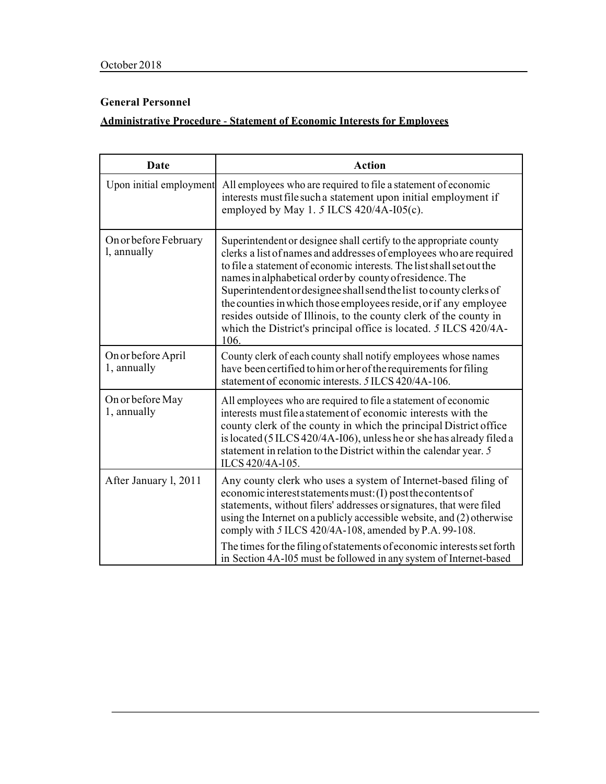# **Administrative Procedure** - **Statement of Economic Interests for Employees**

| Date                                 | <b>Action</b>                                                                                                                                                                                                                                                                                                                                                                                                                                                                                                                                                          |
|--------------------------------------|------------------------------------------------------------------------------------------------------------------------------------------------------------------------------------------------------------------------------------------------------------------------------------------------------------------------------------------------------------------------------------------------------------------------------------------------------------------------------------------------------------------------------------------------------------------------|
| Upon initial employment              | All employees who are required to file a statement of economic<br>interests must file such a statement upon initial employment if<br>employed by May 1. 5 ILCS $420/4A$ -I05(c).                                                                                                                                                                                                                                                                                                                                                                                       |
| On or before February<br>l, annually | Superintendent or designee shall certify to the appropriate county<br>clerks a list of names and addresses of employees who are required<br>to file a statement of economic interests. The list shall set out the<br>names in alphabetical order by county of residence. The<br>Superintendent or designee shall send the list to county clerks of<br>the counties in which those employees reside, or if any employee<br>resides outside of Illinois, to the county clerk of the county in<br>which the District's principal office is located. 5 ILCS 420/4A-<br>106 |
| On or before April<br>1, annually    | County clerk of each county shall notify employees whose names<br>have been certified to him or her of the requirements for filing<br>statement of economic interests. 5 ILCS 420/4A-106.                                                                                                                                                                                                                                                                                                                                                                              |
| On or before May<br>1, annually      | All employees who are required to file a statement of economic<br>interests must file a statement of economic interests with the<br>county clerk of the county in which the principal District office<br>is located (5 ILCS 420/4A-I06), unless he or she has already filed a<br>statement in relation to the District within the calendar year. 5<br>ILCS 420/4A-105.                                                                                                                                                                                                 |
| After January 1, 2011                | Any county clerk who uses a system of Internet-based filing of<br>economic interest statements must: (I) post the contents of<br>statements, without filers' addresses or signatures, that were filed<br>using the Internet on a publicly accessible website, and (2) otherwise<br>comply with 5 ILCS 420/4A-108, amended by P.A. 99-108.                                                                                                                                                                                                                              |
|                                      | The times for the filing of statements of economic interests set forth<br>in Section 4A-105 must be followed in any system of Internet-based                                                                                                                                                                                                                                                                                                                                                                                                                           |

filing.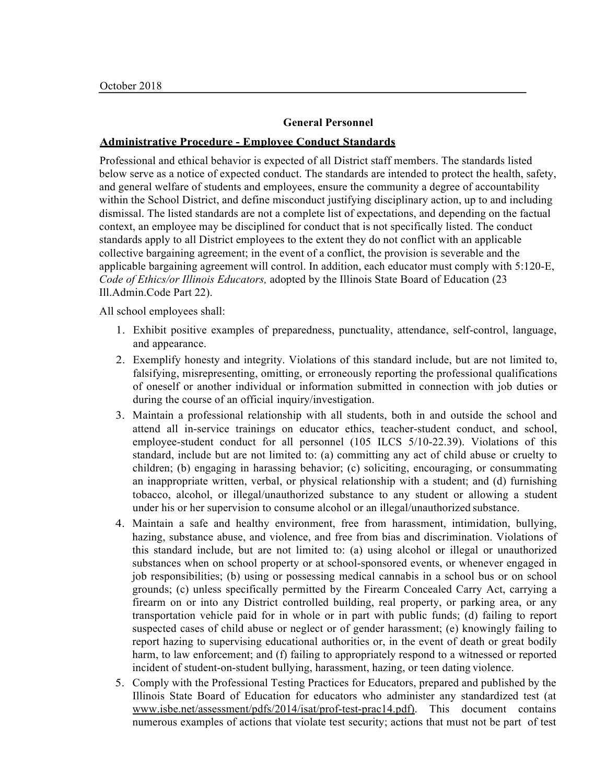## **Administrative Procedure - Employee Conduct Standards**

Professional and ethical behavior is expected of all District staff members. The standards listed below serve as a notice of expected conduct. The standards are intended to protect the health, safety, and general welfare of students and employees, ensure the community a degree of accountability within the School District, and define misconduct justifying disciplinary action, up to and including dismissal. The listed standards are not a complete list of expectations, and depending on the factual context, an employee may be disciplined for conduct that is not specifically listed. The conduct standards apply to all District employees to the extent they do not conflict with an applicable collective bargaining agreement; in the event of a conflict, the provision is severable and the applicable bargaining agreement will control. In addition, each educator must comply with 5:120-E, *Code of Ethics/or Illinois Educators,* adopted by the Illinois State Board of Education (23 Ill.Admin.Code Part 22).

All school employees shall:

- 1. Exhibit positive examples of preparedness, punctuality, attendance, self-control, language, and appearance.
- 2. Exemplify honesty and integrity. Violations of this standard include, but are not limited to, falsifying, misrepresenting, omitting, or erroneously reporting the professional qualifications of oneself or another individual or information submitted in connection with job duties or during the course of an official inquiry/investigation.
- 3. Maintain a professional relationship with all students, both in and outside the school and attend all in-service trainings on educator ethics, teacher-student conduct, and school, employee-student conduct for all personnel (105 ILCS 5/10-22.39). Violations of this standard, include but are not limited to: (a) committing any act of child abuse or cruelty to children; (b) engaging in harassing behavior; (c) soliciting, encouraging, or consummating an inappropriate written, verbal, or physical relationship with a student; and (d) furnishing tobacco, alcohol, or illegal/unauthorized substance to any student or allowing a student under his or her supervision to consume alcohol or an illegal/unauthorized substance.
- 4. Maintain a safe and healthy environment, free from harassment, intimidation, bullying, hazing, substance abuse, and violence, and free from bias and discrimination. Violations of this standard include, but are not limited to: (a) using alcohol or illegal or unauthorized substances when on school property or at school-sponsored events, or whenever engaged in job responsibilities; (b) using or possessing medical cannabis in a school bus or on school grounds; (c) unless specifically permitted by the Firearm Concealed Carry Act, carrying a firearm on or into any District controlled building, real property, or parking area, or any transportation vehicle paid for in whole or in part with public funds; (d) failing to report suspected cases of child abuse or neglect or of gender harassment; (e) knowingly failing to report hazing to supervising educational authorities or, in the event of death or great bodily harm, to law enforcement; and (f) failing to appropriately respond to a witnessed or reported incident of student-on-student bullying, harassment, hazing, or teen dating violence.
- 5. Comply with the Professional Testing Practices for Educators, prepared and published by the Illinois State Board of Education for educators who administer any standardized test (at www.isbe.net/assessment/pdfs/2014/isat/prof-test-prac14.pdf). This document contains numerous examples of actions that violate test security; actions that must not be part of test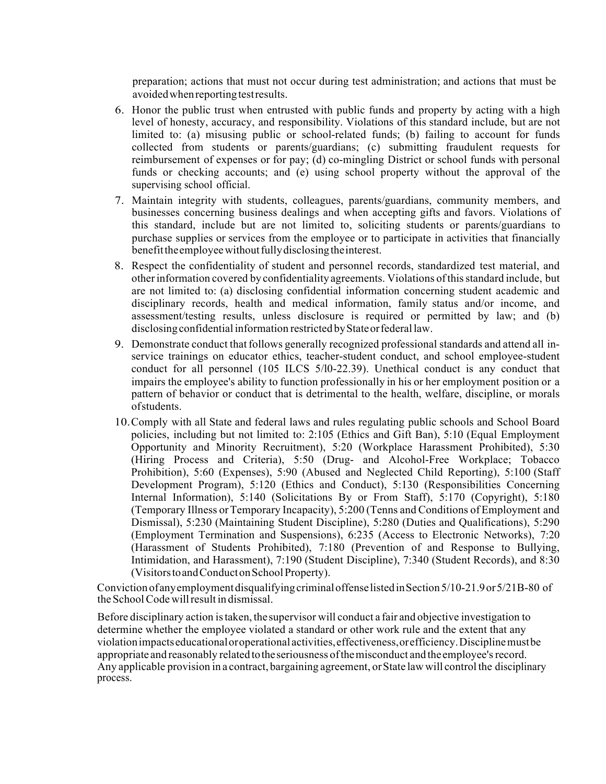preparation; actions that must not occur during test administration; and actions that must be avoided when reporting test results.

- 6. Honor the public trust when entrusted with public funds and property by acting with a high level of honesty, accuracy, and responsibility. Violations of this standard include, but are not limited to: (a) misusing public or school-related funds; (b) failing to account for funds collected from students or parents/guardians; (c) submitting fraudulent requests for reimbursement of expenses or for pay; (d) co-mingling District or school funds with personal funds or checking accounts; and (e) using school property without the approval of the supervising school official.
- 7. Maintain integrity with students, colleagues, parents/guardians, community members, and businesses concerning business dealings and when accepting gifts and favors. Violations of this standard, include but are not limited to, soliciting students or parents/guardians to purchase supplies or services from the employee or to participate in activities that financially benefit the employee without fully disclosing the interest.
- 8. Respect the confidentiality of student and personnel records, standardized test material, and otherinformation covered by confidentiality agreements. Violations ofthisstandard include, but are not limited to: (a) disclosing confidential information concerning student academic and disciplinary records, health and medical information, family status and/or income, and assessment/testing results, unless disclosure is required or permitted by law; and (b) disclosing confidential information restricted by State or federal law.
- 9. Demonstrate conduct that follows generally recognized professional standards and attend all inservice trainings on educator ethics, teacher-student conduct, and school employee-student conduct for all personnel (105 ILCS 5/l0-22.39). Unethical conduct is any conduct that impairs the employee's ability to function professionally in his or her employment position or a pattern of behavior or conduct that is detrimental to the health, welfare, discipline, or morals ofstudents.
- 10.Comply with all State and federal laws and rules regulating public schools and School Board policies, including but not limited to: 2:105 (Ethics and Gift Ban), 5:10 (Equal Employment Opportunity and Minority Recruitment), 5:20 (Workplace Harassment Prohibited), 5:30 (Hiring Process and Criteria), 5:50 (Drug- and Alcohol-Free Workplace; Tobacco Prohibition), 5:60 (Expenses), 5:90 (Abused and Neglected Child Reporting), 5:100 (Staff Development Program), 5:120 (Ethics and Conduct), 5:130 (Responsibilities Concerning Internal Information), 5:140 (Solicitations By or From Staff), 5:170 (Copyright), 5:180 (Temporary Illness orTemporary Incapacity), 5:200 (Tenns and Conditions of Employment and Dismissal), 5:230 (Maintaining Student Discipline), 5:280 (Duties and Qualifications), 5:290 (Employment Termination and Suspensions), 6:235 (Access to Electronic Networks), 7:20 (Harassment of Students Prohibited), 7:180 (Prevention of and Response to Bullying, Intimidation, and Harassment), 7:190 (Student Discipline), 7:340 (Student Records), and 8:30 (VisitorstoandConductonSchoolProperty).

Conviction ofanyemployment disqualifying criminaloffenselistedinSection5/10-21.9or5/21B-80 of theSchoolCode willresult in dismissal.

Before disciplinary action istaken, thesupervisor will conduct a fair and objective investigation to determine whether the employee violated a standard or other work rule and the extent that any violationimpactseducationaloroperational activities,effectiveness,orefficiency.Disciplinemustbe appropriate and reasonably related to the seriousness of the misconduct and the employee's record. Any applicable provision in a contract, bargaining agreement, orState law will control the disciplinary process.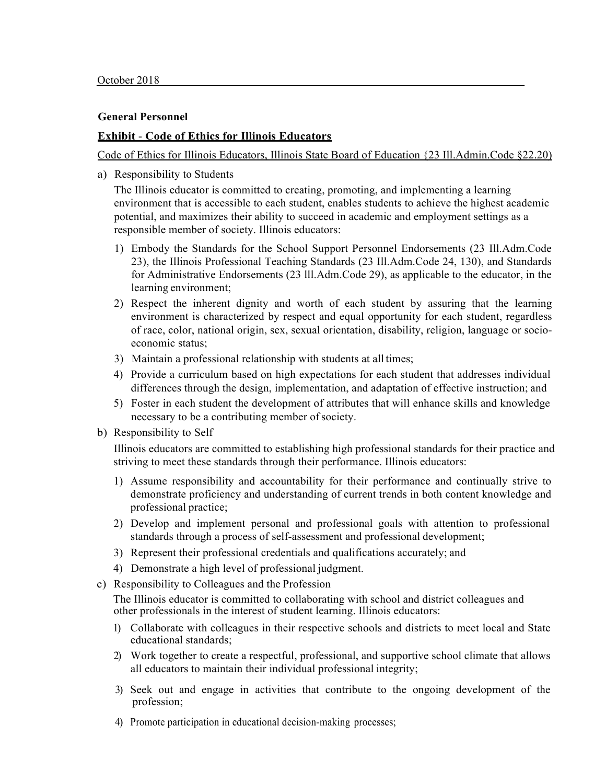## **Exhibit** - **Code of Ethics for Illinois Educators**

Code of Ethics for Illinois Educators, Illinois State Board of Education {23 Ill.Admin.Code §22.20)

a) Responsibility to Students

The Illinois educator is committed to creating, promoting, and implementing a learning environment that is accessible to each student, enables students to achieve the highest academic potential, and maximizes their ability to succeed in academic and employment settings as a responsible member of society. Illinois educators:

- 1) Embody the Standards for the School Support Personnel Endorsements (23 Ill.Adm.Code 23), the Illinois Professional Teaching Standards (23 Ill.Adm.Code 24, 130), and Standards for Administrative Endorsements (23 lll.Adm.Code 29), as applicable to the educator, in the learning environment;
- 2) Respect the inherent dignity and worth of each student by assuring that the learning environment is characterized by respect and equal opportunity for each student, regardless of race, color, national origin, sex, sexual orientation, disability, religion, language or socioeconomic status;
- 3) Maintain a professional relationship with students at all times;
- 4) Provide a curriculum based on high expectations for each student that addresses individual differences through the design, implementation, and adaptation of effective instruction; and
- 5) Foster in each student the development of attributes that will enhance skills and knowledge necessary to be a contributing member of society.
- b) Responsibility to Self

Illinois educators are committed to establishing high professional standards for their practice and striving to meet these standards through their performance. Illinois educators:

- 1) Assume responsibility and accountability for their performance and continually strive to demonstrate proficiency and understanding of current trends in both content knowledge and professional practice;
- 2) Develop and implement personal and professional goals with attention to professional standards through a process of self-assessment and professional development;
- 3) Represent their professional credentials and qualifications accurately; and
- 4) Demonstrate a high level of professional judgment.
- c) Responsibility to Colleagues and the Profession

The Illinois educator is committed to collaborating with school and district colleagues and other professionals in the interest of student learning. Illinois educators:

- 1) Collaborate with colleagues in their respective schools and districts to meet local and State educational standards;
- 2) Work together to create a respectful, professional, and supportive school climate that allows all educators to maintain their individual professional integrity;
- 3) Seek out and engage in activities that contribute to the ongoing development of the profession;
- 4) Promote participation in educational decision-making processes;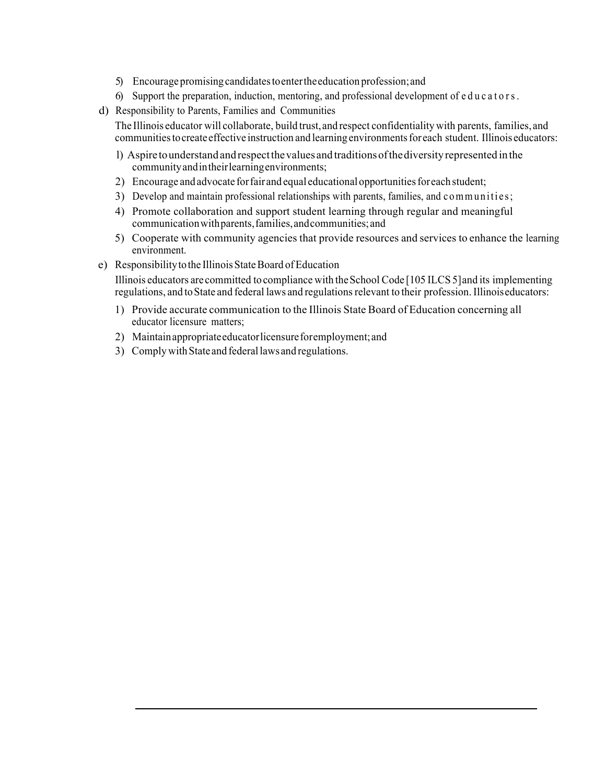- 5) Encourage promisingcandidatestoentertheeducation profession;and
- 6) Support the preparation, induction, mentoring, and professional development of educators.
- d) Responsibility to Parents, Families and Communities
	- The Illinois educator will collaborate, build trust, and respect confidentiality with parents, families, and communitiestocreate effective instruction and learning environmentsforeach student. Illinois educators:
		- l) Aspire tounderstand andrespectthevalues and traditionsofthediversity represented inthe communityandintheirlearningenvironments;
		- 2) Encourage and advocate for fair and equal educational opportunities for each student;
		- 3) Develop and maintain professional relationships with parents, families, and communities;
		- 4) Promote collaboration and support student learning through regular and meaningful communicationwithparents,families,andcommunities; and
		- 5) Cooperate with community agencies that provide resources and services to enhance the learning environment.
- e) Responsibility to the Illinois State Board of Education

Illinois educators are committed to compliance with theSchool Code [105 ILCS 5]and its implementing regulations, and toState and federal laws and regulationsrelevant to their profession. Illinoiseducators:

- 1) Provide accurate communication to the Illinois State Board of Education concerning all educator licensure matters;
- 2) Maintainappropriateeducatorlicensureforemployment;and
- 3) Comply with State and federal laws and regulations.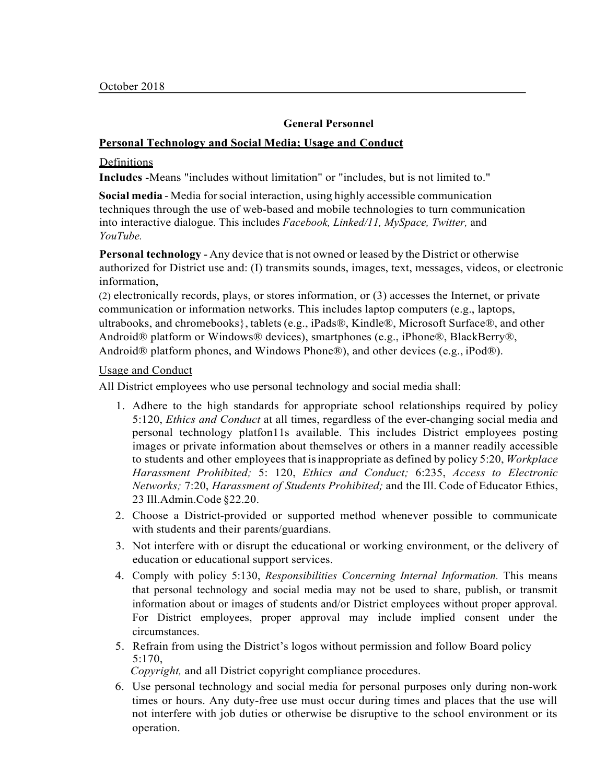## **Personal Technology and Social Media; Usage and Conduct**

#### Definitions

**Includes** -Means "includes without limitation" or "includes, but is not limited to."

**Social media** - Media forsocial interaction, using highly accessible communication techniques through the use of web-based and mobile technologies to turn communication into interactive dialogue. This includes *Facebook, Linked/11, MySpace, Twitter,* and *YouTube.*

**Personal technology** - Any device that is not owned or leased by the District or otherwise authorized for District use and: (I) transmits sounds, images, text, messages, videos, or electronic information,

(2) electronically records, plays, or stores information, or (3) accesses the Internet, or private communication or information networks. This includes laptop computers (e.g., laptops, ultrabooks, and chromebooks}, tablets (e.g., iPads®, Kindle®, Microsoft Surface®, and other Android® platform or Windows® devices), smartphones (e.g., iPhone®, BlackBerry®, Android® platform phones, and Windows Phone®), and other devices (e.g., iPod®).

## Usage and Conduct

All District employees who use personal technology and social media shall:

- 1. Adhere to the high standards for appropriate school relationships required by policy 5:120, *Ethics and Conduct* at all times, regardless of the ever-changing social media and personal technology platfon11s available. This includes District employees posting images or private information about themselves or others in a manner readily accessible to students and other employees that isinappropriate as defined by policy 5:20, *Workplace Harassment Prohibited;* 5: 120, *Ethics and Conduct;* 6:235, *Access to Electronic Networks;* 7:20, *Harassment of Students Prohibited;* and the Ill. Code of Educator Ethics, 23 Ill.Admin.Code §22.20.
- 2. Choose a District-provided or supported method whenever possible to communicate with students and their parents/guardians.
- 3. Not interfere with or disrupt the educational or working environment, or the delivery of education or educational support services.
- 4. Comply with policy 5:130, *Responsibilities Concerning Internal Information.* This means that personal technology and social media may not be used to share, publish, or transmit information about or images of students and/or District employees without proper approval. For District employees, proper approval may include implied consent under the circumstances.
- 5. Refrain from using the District's logos without permission and follow Board policy 5:170,

*Copyright,* and all District copyright compliance procedures.

6. Use personal technology and social media for personal purposes only during non-work times or hours. Any duty-free use must occur during times and places that the use will not interfere with job duties or otherwise be disruptive to the school environment or its operation.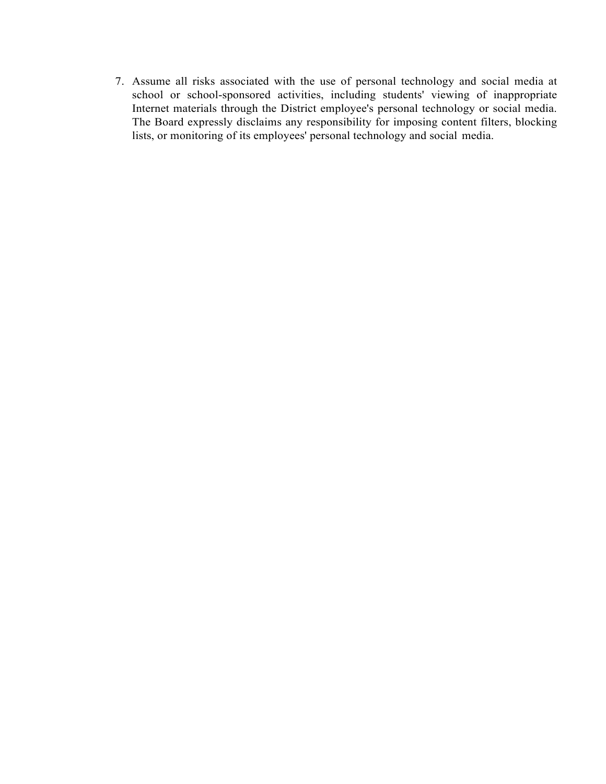7. Assume all risks associated with the use of personal technology and social media at school or school-sponsored activities, including students' viewing of inappropriate Internet materials through the District employee's personal technology or social media. The Board expressly disclaims any responsibility for imposing content filters, blocking lists, or monitoring of its employees' personal technology and social media.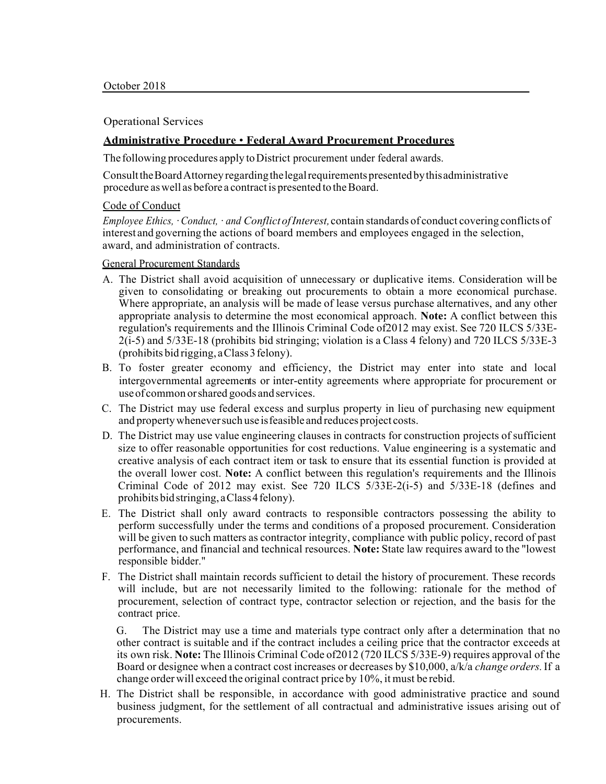#### Operational Services

#### **Administrative Procedure** • **Federal Award Procurement Procedures**

The following procedures apply to District procurement under federal awards.

ConsulttheBoardAttorneyregardingthelegalrequirementspresentedbythisadministrative procedure as well as before a contract is presented to the Board.

#### Code of Conduct

*Employee Ethics, · Conduct, · and Conflict of Interest,* contain standards of conduct covering conflicts of interest and governing the actions of board members and employees engaged in the selection, award, and administration of contracts.

#### General Procurement Standards

- A. The District shall avoid acquisition of unnecessary or duplicative items. Consideration will be given to consolidating or breaking out procurements to obtain a more economical purchase. Where appropriate, an analysis will be made of lease versus purchase alternatives, and any other appropriate analysis to determine the most economical approach. **Note:** A conflict between this regulation's requirements and the Illinois Criminal Code of2012 may exist. See 720 ILCS 5/33E-2(i-5) and 5/33E-18 (prohibits bid stringing; violation is a Class 4 felony) and 720 ILCS 5/33E-3 (prohibits bid rigging, aClass3felony).
- B. To foster greater economy and efficiency, the District may enter into state and local intergovernmental agreements or inter-entity agreements where appropriate for procurement or useof common orshared goods and services.
- C. The District may use federal excess and surplus property in lieu of purchasing new equipment and propertywheneversuch use isfeasible and reduces project costs.
- D. The District may use value engineering clauses in contracts for construction projects of sufficient size to offer reasonable opportunities for cost reductions. Value engineering is a systematic and creative analysis of each contract item or task to ensure that its essential function is provided at the overall lower cost. **Note:** A conflict between this regulation's requirements and the Illinois Criminal Code of 2012 may exist. See 720 ILCS 5/33E-2(i-5) and 5/33E-18 (defines and prohibits bid stringing, a Class 4 felony).
- E. The District shall only award contracts to responsible contractors possessing the ability to perform successfully under the terms and conditions of a proposed procurement. Consideration will be given to such matters as contractor integrity, compliance with public policy, record of past performance, and financial and technical resources. **Note:** State law requires award to the "lowest responsible bidder."
- F. The District shall maintain records sufficient to detail the history of procurement. These records will include, but are not necessarily limited to the following: rationale for the method of procurement, selection of contract type, contractor selection or rejection, and the basis for the contract price.

G. The District may use a time and materials type contract only after a determination that no other contract is suitable and if the contract includes a ceiling price that the contractor exceeds at its own risk. **Note:** The Illinois Criminal Code of2012 (720 ILCS 5/33E-9) requires approval of the Board or designee when a contract cost increases or decreases by \$10,000, a/k/a *change orders.*If a change order will exceed the original contract price by 10%, it must be rebid.

H. The District shall be responsible, in accordance with good administrative practice and sound business judgment, for the settlement of all contractual and administrative issues arising out of procurements.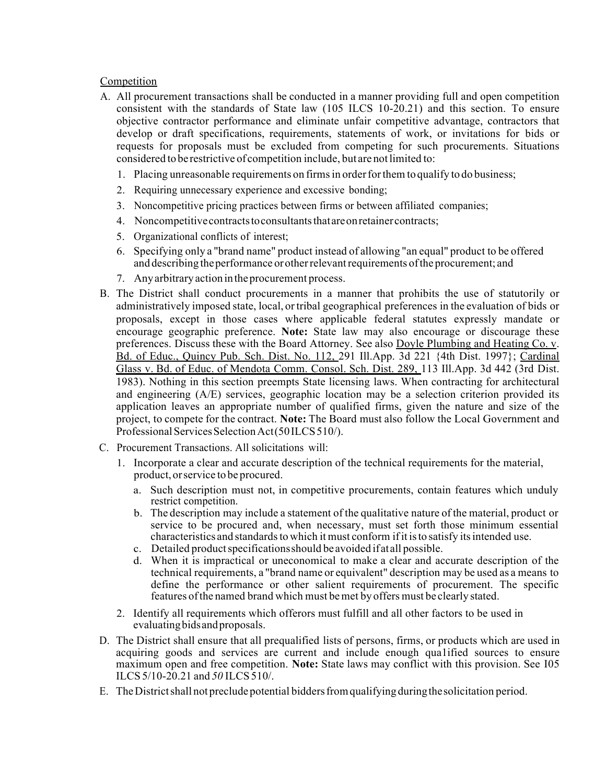## Competition

- A. All procurement transactions shall be conducted in a manner providing full and open competition consistent with the standards of State law (105 ILCS 10-20.21) and this section. To ensure objective contractor performance and eliminate unfair competitive advantage, contractors that develop or draft specifications, requirements, statements of work, or invitations for bids or requests for proposals must be excluded from competing for such procurements. Situations considered to be restrictive of competition include, but are not limited to:
	- 1. Placing unreasonable requirements on firmsin orderforthem to qualify to do business;
	- 2. Requiring unnecessary experience and excessive bonding;
	- 3. Noncompetitive pricing practices between firms or between affiliated companies;
	- 4. Noncompetitive contracts to consultants that are on retainer contracts;
	- 5. Organizational conflicts of interest;
	- 6. Specifying only a "brand name" product instead of allowing "an equal" product to be offered and describing the performance or other relevant requirements of the procurement; and
	- 7. Anyarbitrary action intheprocurement process.
- B. The District shall conduct procurements in a manner that prohibits the use of statutorily or administratively imposed state, local, ortribal geographical preferences in the evaluation of bids or proposals, except in those cases where applicable federal statutes expressly mandate or encourage geographic preference. **Note:** State law may also encourage or discourage these preferences. Discuss these with the Board Attorney. See also Doyle Plumbing and Heating Co. v. Bd. of Educ., Quincy Pub. Sch. Dist. No. 112, 291 Ill.App. 3d 221 {4th Dist. 1997}; Cardinal Glass v. Bd. of Educ. of Mendota Comm. Consol. Sch. Dist. 289, 113 Ill.App. 3d 442 (3rd Dist. 1983). Nothing in this section preempts State licensing laws. When contracting for architectural and engineering  $(A/E)$  services, geographic location may be a selection criterion provided its application leaves an appropriate number of qualified firms, given the nature and size of the project, to compete for the contract. **Note:** The Board must also follow the Local Government and Professional Services Selection Act(50ILCS510/).
- C. Procurement Transactions. All solicitations will:
	- 1. Incorporate a clear and accurate description of the technical requirements for the material, product, orservice to be procured.
		- a. Such description must not, in competitive procurements, contain features which unduly restrict competition.
		- b. The description may include a statement of the qualitative nature of the material, product or service to be procured and, when necessary, must set forth those minimum essential characteristics and standardsto which it must conform ifit isto satisfy itsintended use.
		- c. Detailed product specifications should be avoided if at all possible.
		- d. When it is impractical or uneconomical to make a clear and accurate description of the technical requirements, a "brand name or equivalent" description may be used as a means to define the performance or other salient requirements of procurement. The specific features of the named brand which must be met by offers must be clearly stated.
	- 2. Identify all requirements which offerors must fulfill and all other factors to be used in evaluatingbidsandproposals.
- D. The District shall ensure that all prequalified lists of persons, firms, or products which are used in acquiring goods and services are current and include enough qua1ified sources to ensure maximum open and free competition. **Note:** State laws may conflict with this provision. See I05 ILCS 5/10-20.21 and *50* ILCS510/.
- E. TheDistrictshall not preclude potential biddersfromqualifying duringthesolicitation period.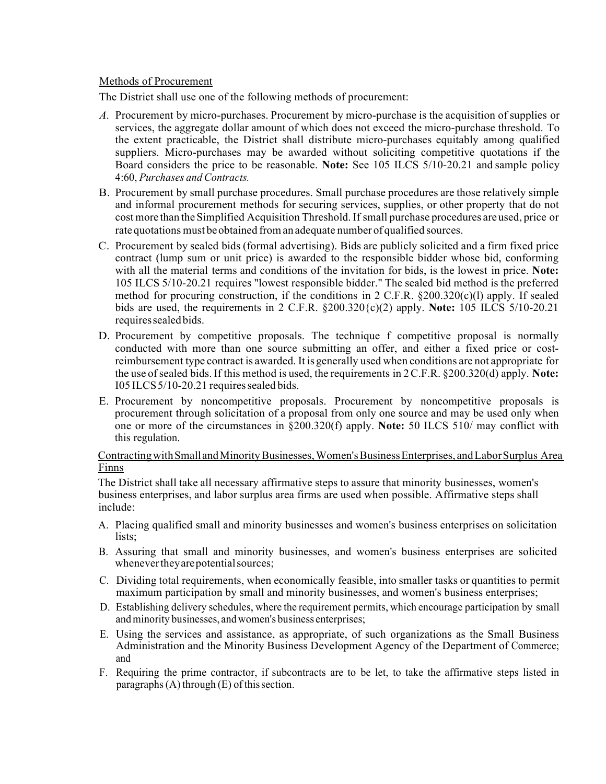## Methods of Procurement

The District shall use one of the following methods of procurement:

- *A.* Procurement by micro-purchases. Procurement by micro-purchase is the acquisition of supplies or services, the aggregate dollar amount of which does not exceed the micro-purchase threshold. To the extent practicable, the District shall distribute micro-purchases equitably among qualified suppliers. Micro-purchases may be awarded without soliciting competitive quotations if the Board considers the price to be reasonable. **Note:** See 105 ILCS 5/10-20.21 and sample policy 4:60, *Purchases and Contracts.*
- B. Procurement by small purchase procedures. Small purchase procedures are those relatively simple and informal procurement methods for securing services, supplies, or other property that do not cost more than the Simplified Acquisition Threshold. If small purchase procedures are used, price or rate quotations must beobtained froman adequate number of qualified sources.
- C. Procurement by sealed bids (formal advertising). Bids are publicly solicited and a firm fixed price contract (lump sum or unit price) is awarded to the responsible bidder whose bid, conforming with all the material terms and conditions of the invitation for bids, is the lowest in price. **Note:**  105 ILCS 5/10-20.21 requires "lowest responsible bidder." The sealed bid method is the preferred method for procuring construction, if the conditions in 2 C.F.R. §200.320(c)(l) apply. If sealed bids are used, the requirements in 2 C.F.R. §200.320{c)(2) apply. **Note:** 105 ILCS 5/10-20.21 requiressealed bids.
- D. Procurement by competitive proposals. The technique f competitive proposal is normally conducted with more than one source submitting an offer, and either a fixed price or costreimbursement type contract is awarded. It is generally used when conditions are not appropriate for the use ofsealed bids. If this method is used, the requirements in 2C.F.R. §200.320(d) apply. **Note:**  $I05 ILCS<sub>5</sub>/10-20.21$  requires sealed bids.
- E. Procurement by noncompetitive proposals. Procurement by noncompetitive proposals is procurement through solicitation of a proposal from only one source and may be used only when one or more of the circumstances in §200.320(f) apply. **Note:** 50 ILCS 510/ may conflict with this regulation.

## Contracting with Small and Minority Businesses, Women's Business Enterprises, and Labor Surplus Area Finns

The District shall take all necessary affirmative steps to assure that minority businesses, women's business enterprises, and labor surplus area firms are used when possible. Affirmative steps shall include:

- A. Placing qualified small and minority businesses and women's business enterprises on solicitation lists:
- B. Assuring that small and minority businesses, and women's business enterprises are solicited whenever they are potential sources;
- C. Dividing total requirements, when economically feasible, into smaller tasks or quantities to permit maximum participation by small and minority businesses, and women's business enterprises;
- D. Establishing delivery schedules, where the requirement permits, which encourage participation by small and minority businesses, and women's business enterprises;
- E. Using the services and assistance, as appropriate, of such organizations as the Small Business Administration and the Minority Business Development Agency of the Department of Commerce; and
- F. Requiring the prime contractor, if subcontracts are to be let, to take the affirmative steps listed in paragraphs  $(A)$  through  $(E)$  of this section.